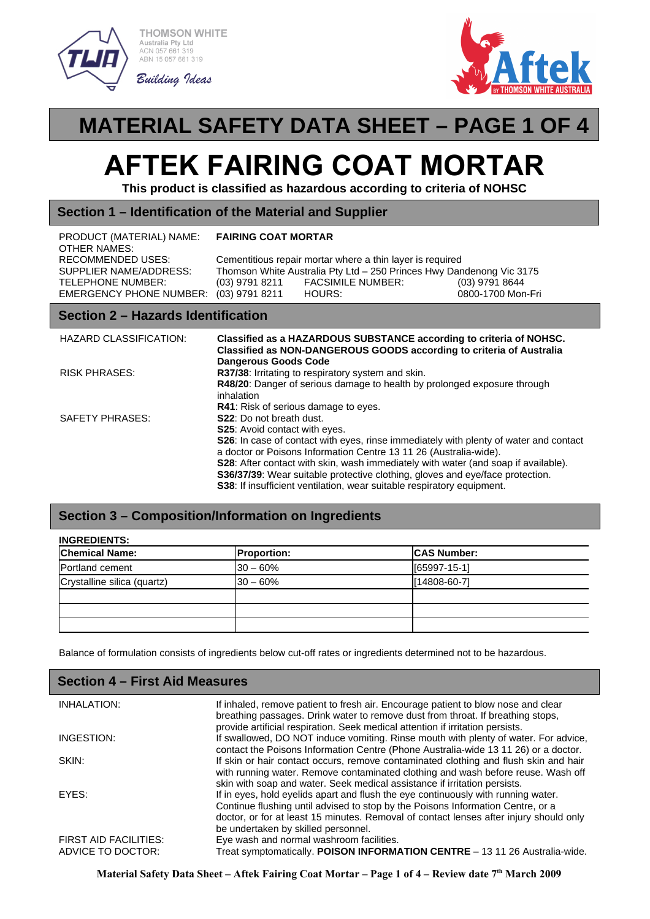

**THOMSON WHITE** ustralia Pty Ltd ACN 057 661 319<br>ABN 15 057 661 319





## **MATERIAL SAFETY DATA SHEET – PAGE 1 OF 4**

# **AFTEK FAIRING COAT MORTAR**

**This product is classified as hazardous according to criteria of NOHSC**

#### **Section 1 – Identification of the Material and Supplier**

| PRODUCT (MATERIAL) NAME:<br>OTHER NAMES:                    | <b>FAIRING COAT MORTAR</b> |                                                                                                                                   |                                       |
|-------------------------------------------------------------|----------------------------|-----------------------------------------------------------------------------------------------------------------------------------|---------------------------------------|
| RECOMMENDED USES:<br>SUPPLIER NAME/ADDRESS:                 |                            | Cementitious repair mortar where a thin layer is required<br>Thomson White Australia Pty Ltd - 250 Princes Hwy Dandenong Vic 3175 |                                       |
| TELEPHONE NUMBER:<br>EMERGENCY PHONE NUMBER: (03) 9791 8211 | (03) 9791 8211             | <b>FACSIMILE NUMBER:</b><br>HOURS:                                                                                                | $(03)$ 9791 8644<br>0800-1700 Mon-Fri |

#### **Section 2 – Hazards Identification**

| HAZARD CLASSIFICATION: | Classified as a HAZARDOUS SUBSTANCE according to criteria of NOHSC.<br>Classified as NON-DANGEROUS GOODS according to criteria of Australia<br><b>Dangerous Goods Code</b>                                                                                                                                                                                                                                                                                                                                                                           |
|------------------------|------------------------------------------------------------------------------------------------------------------------------------------------------------------------------------------------------------------------------------------------------------------------------------------------------------------------------------------------------------------------------------------------------------------------------------------------------------------------------------------------------------------------------------------------------|
| <b>RISK PHRASES:</b>   | R37/38: Irritating to respiratory system and skin.<br>R48/20: Danger of serious damage to health by prolonged exposure through<br>inhalation                                                                                                                                                                                                                                                                                                                                                                                                         |
| SAFETY PHRASES:        | <b>R41:</b> Risk of serious damage to eyes.<br><b>S22:</b> Do not breath dust.<br><b>S25:</b> Avoid contact with eyes.<br>S26: In case of contact with eyes, rinse immediately with plenty of water and contact<br>a doctor or Poisons Information Centre 13 11 26 (Australia-wide).<br><b>S28</b> : After contact with skin, wash immediately with water (and soap if available).<br>S36/37/39: Wear suitable protective clothing, gloves and eye/face protection.<br><b>S38:</b> If insufficient ventilation, wear suitable respiratory equipment. |

#### **Section 3 – Composition/Information on Ingredients**

| <b>INGREDIENTS:</b> |                    |  |
|---------------------|--------------------|--|
| <b>Proportion:</b>  | <b>CAS Number:</b> |  |
| $130 - 60\%$        | [65997-15-1]       |  |
| $130 - 60%$         | [14808-60-7]       |  |
|                     |                    |  |
|                     |                    |  |
|                     |                    |  |
|                     |                    |  |

Balance of formulation consists of ingredients below cut-off rates or ingredients determined not to be hazardous.

| <b>Section 4 – First Aid Measures</b>             |                                                                                                                                                                                                                                                                                                       |  |
|---------------------------------------------------|-------------------------------------------------------------------------------------------------------------------------------------------------------------------------------------------------------------------------------------------------------------------------------------------------------|--|
| <b>INHALATION:</b>                                | If inhaled, remove patient to fresh air. Encourage patient to blow nose and clear<br>breathing passages. Drink water to remove dust from throat. If breathing stops,<br>provide artificial respiration. Seek medical attention if irritation persists.                                                |  |
| INGESTION:                                        | If swallowed, DO NOT induce vomiting. Rinse mouth with plenty of water. For advice,<br>contact the Poisons Information Centre (Phone Australia-wide 13 11 26) or a doctor.                                                                                                                            |  |
| SKIN:                                             | If skin or hair contact occurs, remove contaminated clothing and flush skin and hair<br>with running water. Remove contaminated clothing and wash before reuse. Wash off<br>skin with soap and water. Seek medical assistance if irritation persists.                                                 |  |
| EYES:                                             | If in eyes, hold eyelids apart and flush the eye continuously with running water.<br>Continue flushing until advised to stop by the Poisons Information Centre, or a<br>doctor, or for at least 15 minutes. Removal of contact lenses after injury should only<br>be undertaken by skilled personnel. |  |
| <b>FIRST AID FACILITIES:</b><br>ADVICE TO DOCTOR: | Eye wash and normal washroom facilities.<br>Treat symptomatically. POISON INFORMATION CENTRE - 13 11 26 Australia-wide.                                                                                                                                                                               |  |

**Material Safety Data Sheet – Aftek Fairing Coat Mortar – Page 1 of 4 – Review date 7 th March 2009**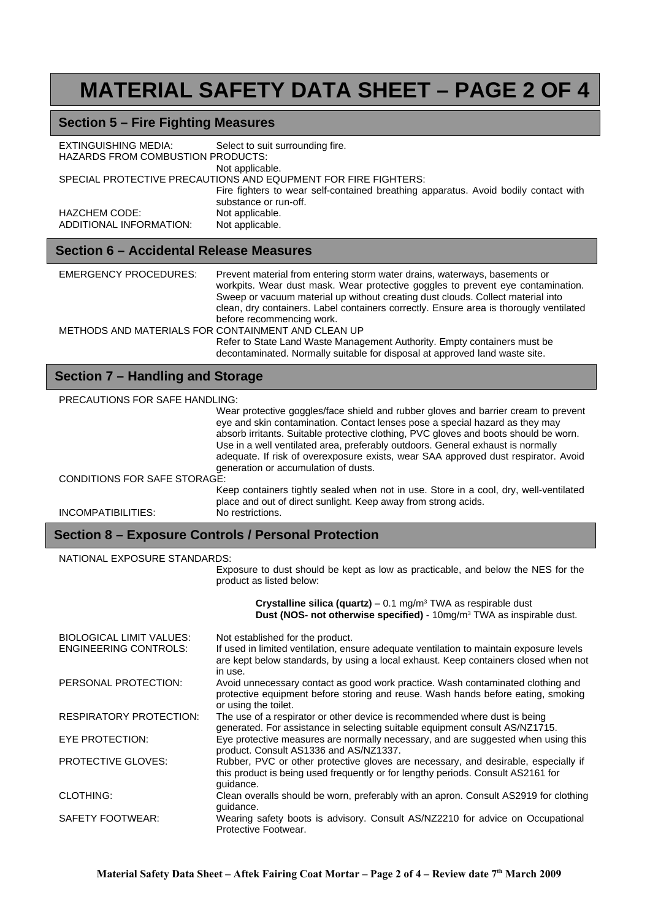## **MATERIAL SAFETY DATA SHEET – PAGE 2 OF 4**

## **Section 5 – Fire Fighting Measures**

| EXTINGUISHING MEDIA:<br><b>HAZARDS FROM COMBUSTION PRODUCTS:</b> | Select to suit surrounding fire.                                                                             |  |
|------------------------------------------------------------------|--------------------------------------------------------------------------------------------------------------|--|
|                                                                  | Not applicable.                                                                                              |  |
| SPECIAL PROTECTIVE PRECAUTIONS AND EQUPMENT FOR FIRE FIGHTERS:   |                                                                                                              |  |
|                                                                  | Fire fighters to wear self-contained breathing apparatus. Avoid bodily contact with<br>substance or run-off. |  |
| <b>HAZCHEM CODE:</b>                                             | Not applicable.                                                                                              |  |
| ADDITIONAL INFORMATION:                                          | Not applicable.                                                                                              |  |

### **Section 6 – Accidental Release Measures**

| <b>EMERGENCY PROCEDURES:</b>                       | Prevent material from entering storm water drains, waterways, basements or<br>workpits. Wear dust mask. Wear protective goggles to prevent eye contamination.<br>Sweep or vacuum material up without creating dust clouds. Collect material into<br>clean, dry containers. Label containers correctly. Ensure area is thorougly ventilated |
|----------------------------------------------------|--------------------------------------------------------------------------------------------------------------------------------------------------------------------------------------------------------------------------------------------------------------------------------------------------------------------------------------------|
|                                                    | before recommencing work.                                                                                                                                                                                                                                                                                                                  |
| METHODS AND MATERIALS FOR CONTAINMENT AND CLEAN UP |                                                                                                                                                                                                                                                                                                                                            |
|                                                    | Refer to State Land Waste Management Authority. Empty containers must be<br>decontaminated. Normally suitable for disposal at approved land waste site.                                                                                                                                                                                    |

## **Section 7 – Handling and Storage**

| <b>PRECAUTIONS FOR SAFE HANDLING:</b> |                                                                                                                                                                                                                                                                                                                                                                                                                                                                             |  |
|---------------------------------------|-----------------------------------------------------------------------------------------------------------------------------------------------------------------------------------------------------------------------------------------------------------------------------------------------------------------------------------------------------------------------------------------------------------------------------------------------------------------------------|--|
|                                       | Wear protective goggles/face shield and rubber gloves and barrier cream to prevent<br>eye and skin contamination. Contact lenses pose a special hazard as they may<br>absorb irritants. Suitable protective clothing, PVC gloves and boots should be worn.<br>Use in a well ventilated area, preferably outdoors. General exhaust is normally<br>adequate. If risk of overexposure exists, wear SAA approved dust respirator. Avoid<br>generation or accumulation of dusts. |  |
| <b>CONDITIONS FOR SAFE STORAGE:</b>   |                                                                                                                                                                                                                                                                                                                                                                                                                                                                             |  |
|                                       | Keep containers tightly sealed when not in use. Store in a cool, dry, well-ventilated<br>place and out of direct sunlight. Keep away from strong acids.                                                                                                                                                                                                                                                                                                                     |  |
| INCOMPATIBILITIES:                    | No restrictions.                                                                                                                                                                                                                                                                                                                                                                                                                                                            |  |

## **Section 8 – Exposure Controls / Personal Protection**

#### NATIONAL EXPOSURE STANDARDS:

Exposure to dust should be kept as low as practicable, and below the NES for the product as listed below:

|                                | <b>Crystalline silica (quartz)</b> – 0.1 mg/m <sup>3</sup> TWA as respirable dust<br>Dust (NOS- not otherwise specified) - 10mg/m <sup>3</sup> TWA as inspirable dust.                      |
|--------------------------------|---------------------------------------------------------------------------------------------------------------------------------------------------------------------------------------------|
| BIOLOGICAL LIMIT VALUES:       | Not established for the product.                                                                                                                                                            |
| <b>ENGINEERING CONTROLS:</b>   | If used in limited ventilation, ensure adequate ventilation to maintain exposure levels<br>are kept below standards, by using a local exhaust. Keep containers closed when not<br>in use.   |
| PERSONAL PROTECTION:           | Avoid unnecessary contact as good work practice. Wash contaminated clothing and<br>protective equipment before storing and reuse. Wash hands before eating, smoking<br>or using the toilet. |
| <b>RESPIRATORY PROTECTION:</b> | The use of a respirator or other device is recommended where dust is being<br>generated. For assistance in selecting suitable equipment consult AS/NZ1715.                                  |
| EYE PROTECTION:                | Eye protective measures are normally necessary, and are suggested when using this<br>product. Consult AS1336 and AS/NZ1337.                                                                 |
| <b>PROTECTIVE GLOVES:</b>      | Rubber, PVC or other protective gloves are necessary, and desirable, especially if<br>this product is being used frequently or for lengthy periods. Consult AS2161 for<br>quidance.         |
| <b>CLOTHING:</b>               | Clean overalls should be worn, preferably with an apron. Consult AS2919 for clothing<br>quidance.                                                                                           |
| SAFETY FOOTWEAR:               | Wearing safety boots is advisory. Consult AS/NZ2210 for advice on Occupational<br>Protective Footwear.                                                                                      |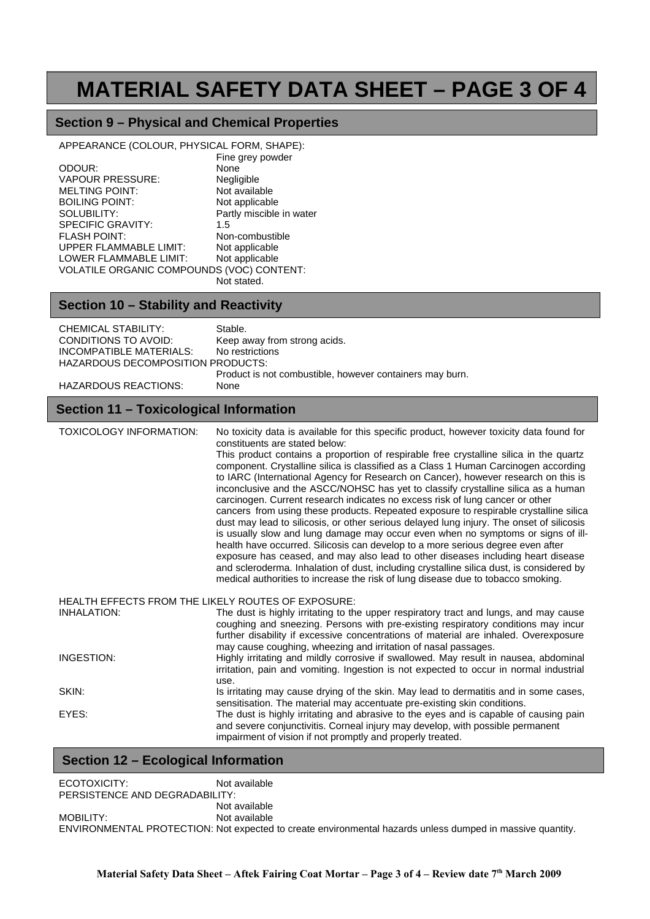## **MATERIAL SAFETY DATA SHEET – PAGE 3 OF 4**

## **Section 9 – Physical and Chemical Properties**

Fine grey powder

APPEARANCE (COLOUR, PHYSICAL FORM, SHAPE):

|                                           | Lille dies bowdel        |
|-------------------------------------------|--------------------------|
| ODOUR:                                    | None                     |
| <b>VAPOUR PRESSURE:</b>                   | Negligible               |
| <b>MELTING POINT:</b>                     | Not available            |
| <b>BOILING POINT:</b>                     | Not applicable           |
| SOLUBILITY:                               | Partly miscible in water |
| SPECIFIC GRAVITY:                         | 1.5                      |
| <b>FLASH POINT:</b>                       | Non-combustible          |
| UPPER FLAMMABLE LIMIT:                    | Not applicable           |
| <b>LOWER FLAMMABLE LIMIT:</b>             | Not applicable           |
| VOLATILE ORGANIC COMPOUNDS (VOC) CONTENT: |                          |
|                                           | Not stated.              |

### **Section 10 – Stability and Reactivity**

| <b>CHEMICAL STABILITY:</b><br>CONDITIONS TO AVOID:<br><b>INCOMPATIBLE MATERIALS:</b><br>HAZARDOUS DECOMPOSITION PRODUCTS:<br><b>HAZARDOUS REACTIONS:</b> | Stable.<br>Keep away from strong acids.<br>No restrictions<br>Product is not combustible, however containers may burn.<br>None                                                                                                                                                                                                                                                                                                                                                                                                                                                                                                                                                                                                                                                                                                                                                                                                                                                                                                                                                                                                                                                                          |  |  |
|----------------------------------------------------------------------------------------------------------------------------------------------------------|---------------------------------------------------------------------------------------------------------------------------------------------------------------------------------------------------------------------------------------------------------------------------------------------------------------------------------------------------------------------------------------------------------------------------------------------------------------------------------------------------------------------------------------------------------------------------------------------------------------------------------------------------------------------------------------------------------------------------------------------------------------------------------------------------------------------------------------------------------------------------------------------------------------------------------------------------------------------------------------------------------------------------------------------------------------------------------------------------------------------------------------------------------------------------------------------------------|--|--|
| <b>Section 11 - Toxicological Information</b>                                                                                                            |                                                                                                                                                                                                                                                                                                                                                                                                                                                                                                                                                                                                                                                                                                                                                                                                                                                                                                                                                                                                                                                                                                                                                                                                         |  |  |
| <b>TOXICOLOGY INFORMATION:</b>                                                                                                                           | No toxicity data is available for this specific product, however toxicity data found for<br>constituents are stated below:<br>This product contains a proportion of respirable free crystalline silica in the quartz<br>component. Crystalline silica is classified as a Class 1 Human Carcinogen according<br>to IARC (International Agency for Research on Cancer), however research on this is<br>inconclusive and the ASCC/NOHSC has yet to classify crystalline silica as a human<br>carcinogen. Current research indicates no excess risk of lung cancer or other<br>cancers from using these products. Repeated exposure to respirable crystalline silica<br>dust may lead to silicosis, or other serious delayed lung injury. The onset of silicosis<br>is usually slow and lung damage may occur even when no symptoms or signs of ill-<br>health have occurred. Silicosis can develop to a more serious degree even after<br>exposure has ceased, and may also lead to other diseases including heart disease<br>and scleroderma. Inhalation of dust, including crystalline silica dust, is considered by<br>medical authorities to increase the risk of lung disease due to tobacco smoking. |  |  |
| HEALTH EFFECTS FROM THE LIKELY ROUTES OF EXPOSURE:                                                                                                       |                                                                                                                                                                                                                                                                                                                                                                                                                                                                                                                                                                                                                                                                                                                                                                                                                                                                                                                                                                                                                                                                                                                                                                                                         |  |  |
| <b>INHALATION:</b>                                                                                                                                       | The dust is highly irritating to the upper respiratory tract and lungs, and may cause<br>coughing and sneezing. Persons with pre-existing respiratory conditions may incur<br>further disability if excessive concentrations of material are inhaled. Overexposure<br>may cause coughing, wheezing and irritation of nasal passages.                                                                                                                                                                                                                                                                                                                                                                                                                                                                                                                                                                                                                                                                                                                                                                                                                                                                    |  |  |
| INGESTION:                                                                                                                                               | Highly irritating and mildly corrosive if swallowed. May result in nausea, abdominal<br>irritation, pain and vomiting. Ingestion is not expected to occur in normal industrial<br>use.                                                                                                                                                                                                                                                                                                                                                                                                                                                                                                                                                                                                                                                                                                                                                                                                                                                                                                                                                                                                                  |  |  |
| SKIN:                                                                                                                                                    | Is irritating may cause drying of the skin. May lead to dermatitis and in some cases,<br>sensitisation. The material may accentuate pre-existing skin conditions.                                                                                                                                                                                                                                                                                                                                                                                                                                                                                                                                                                                                                                                                                                                                                                                                                                                                                                                                                                                                                                       |  |  |
| EYES:                                                                                                                                                    | The dust is highly irritating and abrasive to the eyes and is capable of causing pain<br>and severe conjunctivitis. Corneal injury may develop, with possible permanent<br>impairment of vision if not promptly and properly treated.                                                                                                                                                                                                                                                                                                                                                                                                                                                                                                                                                                                                                                                                                                                                                                                                                                                                                                                                                                   |  |  |

## **Section 12 – Ecological Information**

| ECOTOXICITY:                   | Not available                                                                                             |
|--------------------------------|-----------------------------------------------------------------------------------------------------------|
| PERSISTENCE AND DEGRADABILITY: |                                                                                                           |
|                                | Not available                                                                                             |
| <b>MOBILITY:</b>               | Not available                                                                                             |
|                                | ENVIRONMENTAL PROTECTION: Not expected to create environmental hazards unless dumped in massive quantity. |